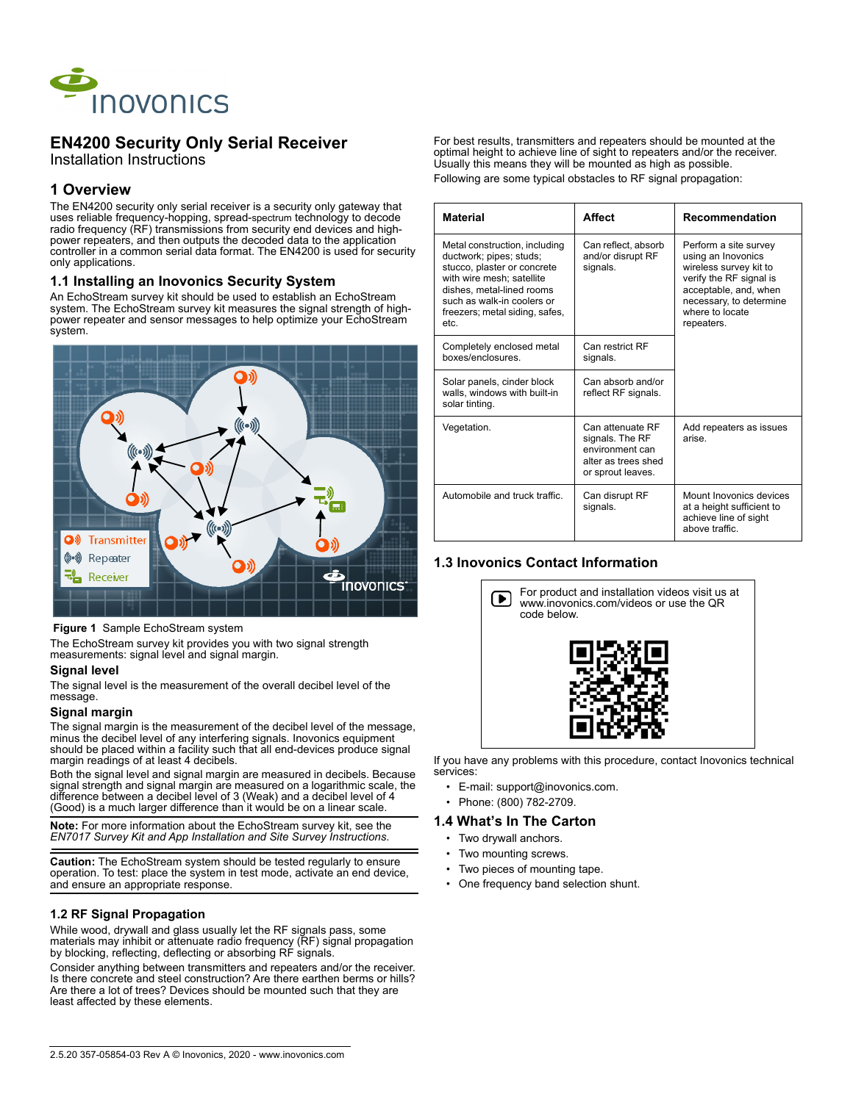

# **EN4200 Security Only Serial Receiver**

Installation Instructions

### **1 Overview**

The EN4200 security only serial receiver is a security only gateway that uses reliable frequency-hopping, spread-spectrum technology to decode radio frequency (RF) transmissions from security end devices and highpower repeaters, and then outputs the decoded data to the application controller in a common serial data format. The EN4200 is used for security only applications.

#### **1.1 Installing an Inovonics Security System**

An EchoStream survey kit should be used to establish an EchoStream system. The EchoStream survey kit measures the signal strength of highpower repeater and sensor messages to help optimize your EchoStream system.



#### **Figure 1** Sample EchoStream system

The EchoStream survey kit provides you with two signal strength measurements: signal level and signal margin.

#### **Signal level**

The signal level is the measurement of the overall decibel level of the message.

#### **Signal margin**

The signal margin is the measurement of the decibel level of the message, minus the decibel level of any interfering signals. Inovonics equipment should be placed within a facility such that all end-devices produce signal margin readings of at least 4 decibels.

Both the signal level and signal margin are measured in decibels. Because signal strength and signal margin are measured on a logarithmic scale, the difference between a decibel level of 3 (Weak) and a decibel level of  $4^{'}$ (Good) is a much larger difference than it would be on a linear scale.

**Note:** For more information about the EchoStream survey kit, see the *EN7017 Survey Kit and App Installation and Site Survey Instructions*.

**Caution:** The EchoStream system should be tested regularly to ensure operation. To test: place the system in test mode, activate an end device, and ensure an appropriate response.

#### **1.2 RF Signal Propagation**

While wood, drywall and glass usually let the RF signals pass, some materials may inhibit or attenuate radio frequency (RF) signal propagation by blocking, reflecting, deflecting or absorbing RF signals.

Consider anything between transmitters and repeaters and/or the receiver. Is there concrete and steel construction? Are there earthen berms or hills? Are there a lot of trees? Devices should be mounted such that they are least affected by these elements.

For best results, transmitters and repeaters should be mounted at the optimal height to achieve line of sight to repeaters and/or the receiver. Usually this means they will be mounted as high as possible. Following are some typical obstacles to RF signal propagation:

| <b>Material</b>                                                                                                                                                                                                           | <b>Affect</b>                                                                                      | Recommendation                                                                                                                                                                        |
|---------------------------------------------------------------------------------------------------------------------------------------------------------------------------------------------------------------------------|----------------------------------------------------------------------------------------------------|---------------------------------------------------------------------------------------------------------------------------------------------------------------------------------------|
| Metal construction, including<br>ductwork; pipes; studs;<br>stucco, plaster or concrete<br>with wire mesh; satellite<br>dishes, metal-lined rooms<br>such as walk-in coolers or<br>freezers; metal siding, safes,<br>etc. | Can reflect, absorb<br>and/or disrupt RF<br>signals.                                               | Perform a site survey<br>using an Inovonics<br>wireless survey kit to<br>verify the RF signal is<br>acceptable, and, when<br>necessary, to determine<br>where to locate<br>repeaters. |
| Completely enclosed metal<br>boxes/enclosures.                                                                                                                                                                            | Can restrict RF<br>signals.                                                                        |                                                                                                                                                                                       |
| Solar panels, cinder block<br>walls, windows with built-in<br>solar tinting.                                                                                                                                              | Can absorb and/or<br>reflect RF signals.                                                           |                                                                                                                                                                                       |
| Vegetation.                                                                                                                                                                                                               | Can attenuate RF<br>signals. The RF<br>environment can<br>alter as trees shed<br>or sprout leaves. | Add repeaters as issues<br>arise                                                                                                                                                      |
| Automobile and truck traffic.                                                                                                                                                                                             | Can disrupt RF<br>signals.                                                                         | Mount Inovonics devices<br>at a height sufficient to<br>achieve line of sight<br>above traffic.                                                                                       |

#### **1.3 Inovonics Contact Information**



If you have any problems with this procedure, contact Inovonics technical services:

- E-mail: support@inovonics.com.
- Phone: (800) 782-2709.
- **1.4 What's In The Carton**
	- Two drywall anchors.
	-
	- Two mounting screws.
	- Two pieces of mounting tape.
	- One frequency band selection shunt.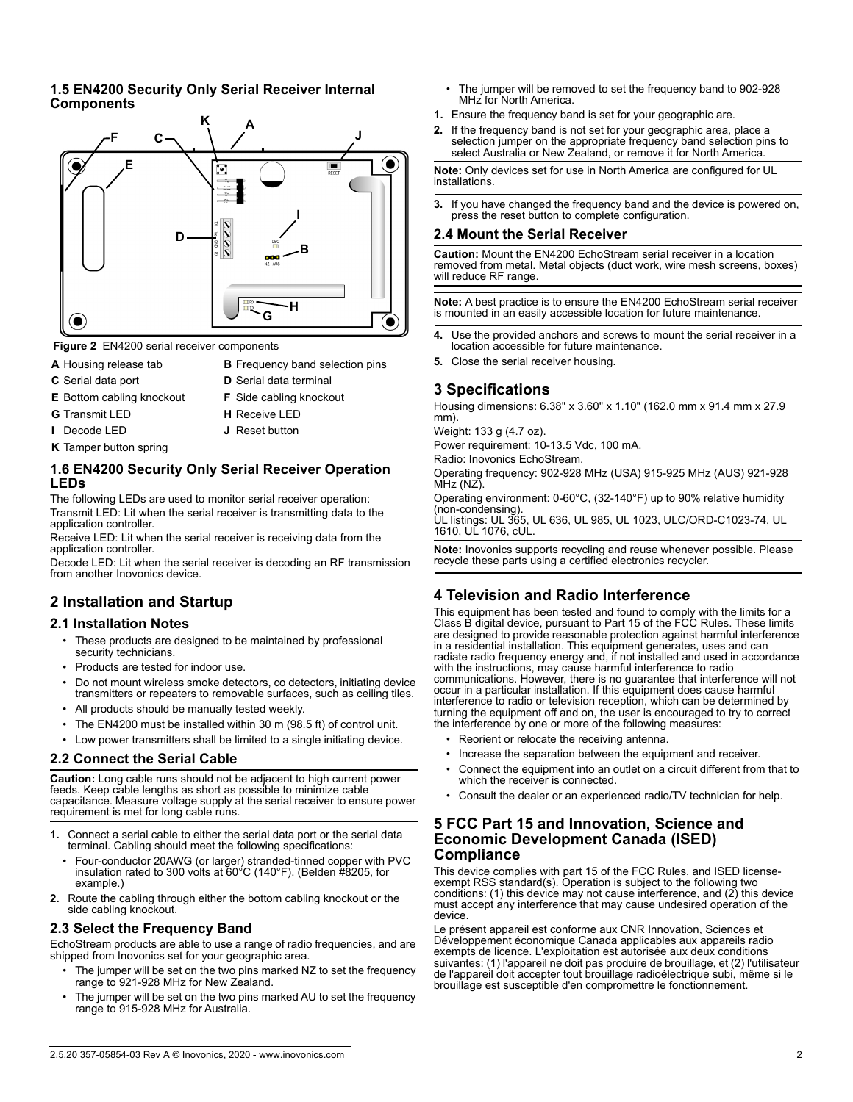### **1.5 EN4200 Security Only Serial Receiver Internal Components**



 **Figure 2** EN4200 serial receiver components

- 
- 
- **A** Housing release tab **B** Frequency band selection pins
- **C** Serial data port **D** Serial data terminal
- **E** Bottom cabling knockout **F** Side cabling knockout
- 
- **G** Transmit LED **H** Receive LED
	-
- **K** Tamper button spring
- **I** Decode LED **J** Reset button

## **1.6 EN4200 Security Only Serial Receiver Operation LEDs**

The following LEDs are used to monitor serial receiver operation: Transmit LED: Lit when the serial receiver is transmitting data to the application controller.

Receive LED: Lit when the serial receiver is receiving data from the application controller.

Decode LED: Lit when the serial receiver is decoding an RF transmission from another Inovonics device.

# **2 Installation and Startup**

### **2.1 Installation Notes**

- These products are designed to be maintained by professional security technicians.
- Products are tested for indoor use.
- Do not mount wireless smoke detectors, co detectors, initiating device transmitters or repeaters to removable surfaces, such as ceiling tiles.
- All products should be manually tested weekly.
- The EN4200 must be installed within 30 m (98.5 ft) of control unit.
- Low power transmitters shall be limited to a single initiating device.

## **2.2 Connect the Serial Cable**

**Caution:** Long cable runs should not be adjacent to high current power feeds. Keep cable lengths as short as possible to minimize cable capacitance. Measure voltage supply at the serial receiver to ensure power requirement is met for long cable runs.

- **1.** Connect a serial cable to either the serial data port or the serial data terminal. Cabling should meet the following specifications:
	- Four-conductor 20AWG (or larger) stranded-tinned copper with PVC insulation rated to 300 volts at 60°C (140°F). (Belden #8205, for example.)
- **2.** Route the cabling through either the bottom cabling knockout or the side cabling knockout.

## **2.3 Select the Frequency Band**

EchoStream products are able to use a range of radio frequencies, and are shipped from Inovonics set for your geographic area.

- The jumper will be set on the two pins marked NZ to set the frequency range to 921-928 MHz for New Zealand.
- The jumper will be set on the two pins marked AU to set the frequency range to 915-928 MHz for Australia.
- The jumper will be removed to set the frequency band to 902-928 MHz for North America.
- **1.** Ensure the frequency band is set for your geographic are.
- **2.** If the frequency band is not set for your geographic area, place a selection jumper on the appropriate frequency band selection pins to select Australia or New Zealand, or remove it for North America.

**Note:** Only devices set for use in North America are configured for UL installations.

**3.** If you have changed the frequency band and the device is powered on, press the reset button to complete configuration.

### **2.4 Mount the Serial Receiver**

**Caution:** Mount the EN4200 EchoStream serial receiver in a location removed from metal. Metal objects (duct work, wire mesh screens, boxes) will reduce RF range.

**Note:** A best practice is to ensure the EN4200 EchoStream serial receiver is mounted in an easily accessible location for future maintenance.

- **4.** Use the provided anchors and screws to mount the serial receiver in a location accessible for future maintenance.
- **5.** Close the serial receiver housing.

### **3 Specifications**

Housing dimensions: 6.38" x 3.60" x 1.10" (162.0 mm x 91.4 mm x 27.9 mm).

Weight: 133 g (4.7 oz).

Power requirement: 10-13.5 Vdc, 100 mA.

Radio: Inovonics EchoStream.

Operating frequency: 902-928 MHz (USA) 915-925 MHz (AUS) 921-928 MHz (NZ).

Operating environment: 0-60°C, (32-140°F) up to 90% relative humidity (non-condensing).

UL listings: UL 365, UL 636, UL 985, UL 1023, ULC/ORD-C1023-74, UL 1610, UL 1076, cUL.

**Note:** Inovonics supports recycling and reuse whenever possible. Please recycle these parts using a certified electronics recycler.

# **4 Television and Radio Interference**

This equipment has been tested and found to comply with the limits for a Class B digital device, pursuant to Part 15 of the FCC Rules. These limits are designed to provide reasonable protection against harmful interference in a residential installation. This equipment generates, uses and can radiate radio frequency energy and, if not installed and used in accordance with the instructions, may cause harmful interference to radio communications. However, there is no guarantee that interference will not occur in a particular installation. If this equipment does cause harmful interference to radio or television reception, which can be determined by turning the equipment off and on, the user is encouraged to try to correct the interference by one or more of the following measures:

- Reorient or relocate the receiving antenna
- Increase the separation between the equipment and receiver.
- Connect the equipment into an outlet on a circuit different from that to which the receiver is connected.
- Consult the dealer or an experienced radio/TV technician for help.

### **5 FCC Part 15 and Innovation, Science and Economic Development Canada (ISED) Compliance**

This device complies with part 15 of the FCC Rules, and ISED licenseexempt RSS standard(s). Operation is subject to the following two conditions: (1) this device may not cause interference, and (2) this device must accept any interference that may cause undesired operation of the device.

Le présent appareil est conforme aux CNR Innovation, Sciences et Développement économique Canada applicables aux appareils radio exempts de licence. L'exploitation est autorisée aux deux conditions suivantes: (1) l'appareil ne doit pas produire de brouillage, et (2) l'utilisateur de l'appareil doit accepter tout brouillage radioélectrique subi, même si le brouillage est susceptible d'en compromettre le fonctionnement.